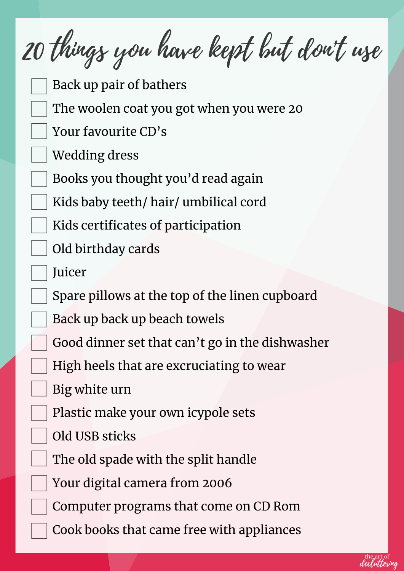20 things you have kept but don't use Back up pair of bathers The woolen coat you got when you were 20 Your favourite CD's Wedding dress Books you thought you'd read again Kids baby teeth/ hair/ umbilical cord Kids certificates of participation Old birthday cards **Juicer** Spare pillows at the top of the linen cupboard Back up back up beach towels Good dinner set that can't go in the dishwasher High heels that are excruciating to wear Big white urn Plastic make your own icypole sets Old USB sticks The old spade with the split handle Your digital camera from 2006 Computer programs that come on CD Rom Cook books that came free with appliances

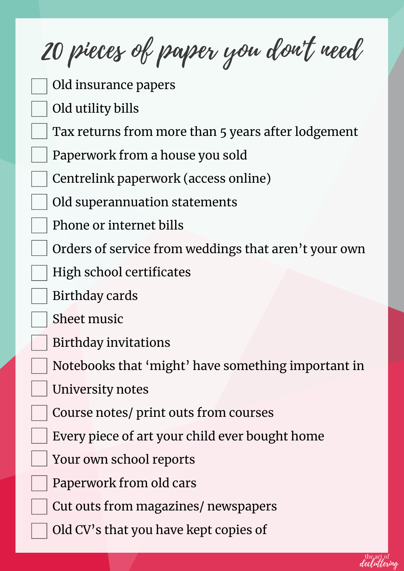20 pieces of paper you don't need

- Old insurance papers
- Old utility bills
- Tax returns from more than 5 years after lodgement
- Paperwork from a house you sold
- Centrelink paperwork (access online)
- Old superannuation statements
- Phone or internet bills
- Orders of service from weddings that aren't your own
- High school certificates
- Birthday cards
- Sheet music
- Birthday invitations
- Notebooks that 'might' have something important in
- University notes
- Course notes/ print outs from courses
- Every piece of art your child ever bought home
- Your own school reports
- Paperwork from old cars
- Cut outs from magazines/ newspapers
- Old CV's that you have kept copies of

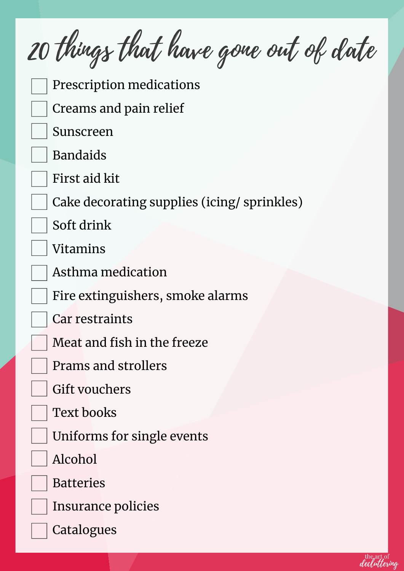20 things that have gone out of date Prescription medications Creams and pain relief Sunscreen Bandaids First aid kit Cake decorating supplies (icing/ sprinkles) Soft drink Vitamins Asthma medication Fire extinguishers, smoke alarms Car restraints Meat and fish in the freeze Prams and strollers Gift vouchers Text books Uniforms for single events Alcohol Batteries Insurance policies **Catalogues** 

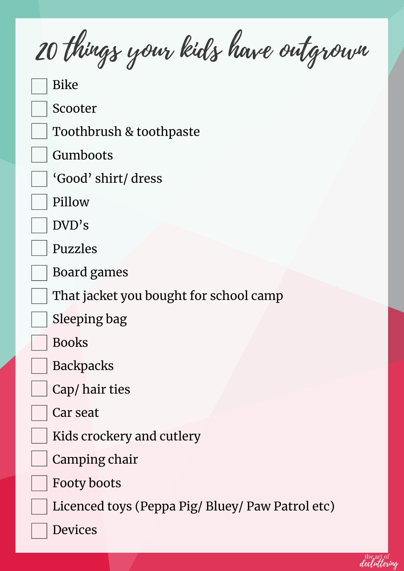20 things your kids have outgrown

Bike

Scooter

Toothbrush & toothpaste

Gumboots

'Good' shirt/ dress

Pillow

DVD's

Puzzles

Board games

That jacket you bought for school camp

Sleeping bag

Books



Cap/ hair ties

Car seat

Kids crockery and cutlery

Camping chair

Footy boots

Licenced toys (Peppa Pig/ Bluey/ Paw Patrol etc)

Devices

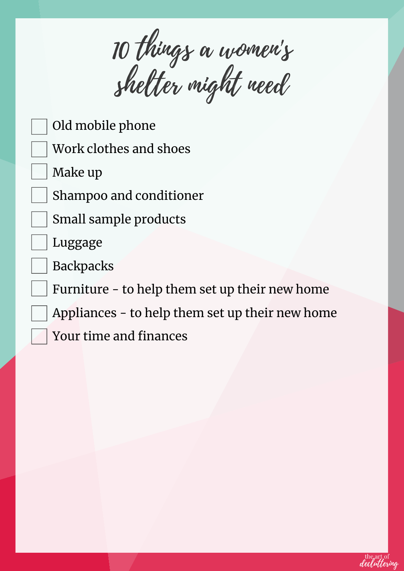10 things a women's shelter might need

- Old mobile phone
- Work clothes and shoes
- Make up

Shampoo and conditioner

- Small sample products
- Luggage
- **Backpacks**

Furniture - to help them set up their new home

Appliances - to help them set up their new home

Your time and finances